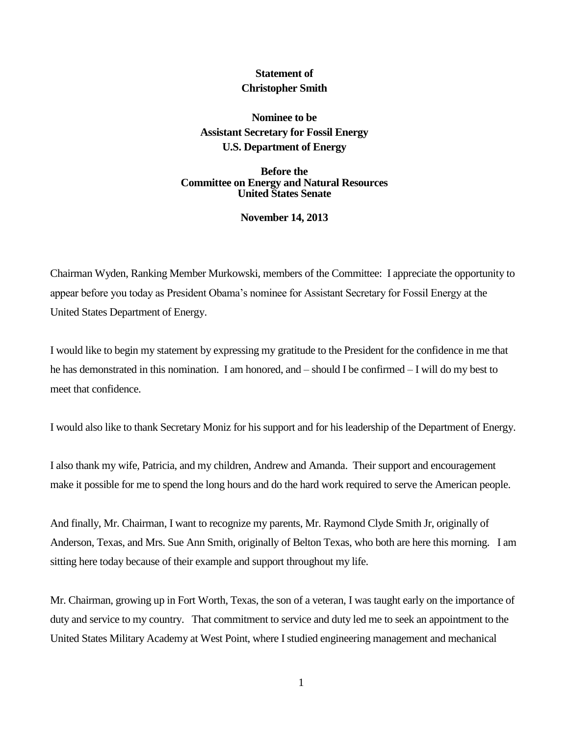## **Statement of Christopher Smith**

**Nominee to be Assistant Secretary for Fossil Energy U.S. Department of Energy**

**Before the Committee on Energy and Natural Resources United States Senate**

**November 14, 2013**

Chairman Wyden, Ranking Member Murkowski, members of the Committee: I appreciate the opportunity to appear before you today as President Obama's nominee for Assistant Secretary for Fossil Energy at the United States Department of Energy.

I would like to begin my statement by expressing my gratitude to the President for the confidence in me that he has demonstrated in this nomination. I am honored, and – should I be confirmed – I will do my best to meet that confidence.

I would also like to thank Secretary Moniz for his support and for his leadership of the Department of Energy.

I also thank my wife, Patricia, and my children, Andrew and Amanda. Their support and encouragement make it possible for me to spend the long hours and do the hard work required to serve the American people.

And finally, Mr. Chairman, I want to recognize my parents, Mr. Raymond Clyde Smith Jr, originally of Anderson, Texas, and Mrs. Sue Ann Smith, originally of Belton Texas, who both are here this morning. I am sitting here today because of their example and support throughout my life.

Mr. Chairman, growing up in Fort Worth, Texas, the son of a veteran, I was taught early on the importance of duty and service to my country. That commitment to service and duty led me to seek an appointment to the United States Military Academy at West Point, where I studied engineering management and mechanical

1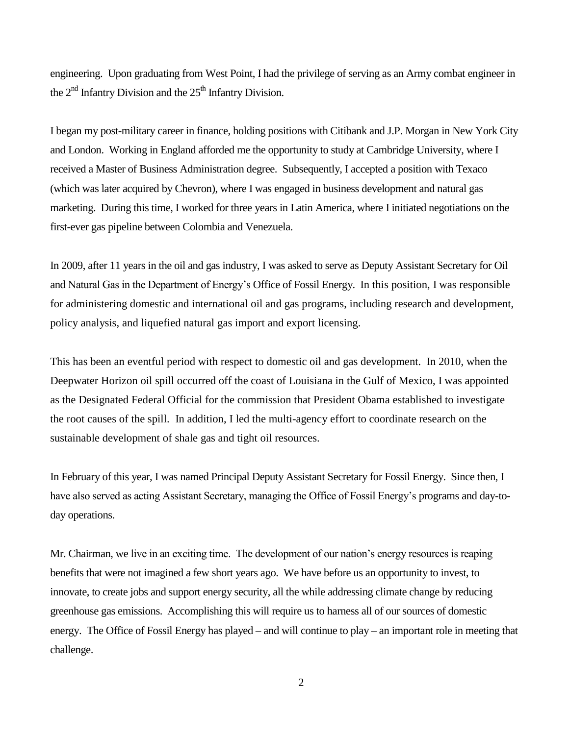engineering. Upon graduating from West Point, I had the privilege of serving as an Army combat engineer in the  $2<sup>nd</sup>$  Infantry Division and the  $25<sup>th</sup>$  Infantry Division.

I began my post-military career in finance, holding positions with Citibank and J.P. Morgan in New York City and London. Working in England afforded me the opportunity to study at Cambridge University, where I received a Master of Business Administration degree. Subsequently, I accepted a position with Texaco (which was later acquired by Chevron), where I was engaged in business development and natural gas marketing. During this time, I worked for three years in Latin America, where I initiated negotiations on the first-ever gas pipeline between Colombia and Venezuela.

In 2009, after 11 years in the oil and gas industry, I was asked to serve as Deputy Assistant Secretary for Oil and Natural Gas in the Department of Energy's Office of Fossil Energy. In this position, I was responsible for administering domestic and international oil and gas programs, including research and development, policy analysis, and liquefied natural gas import and export licensing.

This has been an eventful period with respect to domestic oil and gas development. In 2010, when the Deepwater Horizon oil spill occurred off the coast of Louisiana in the Gulf of Mexico, I was appointed as the Designated Federal Official for the commission that President Obama established to investigate the root causes of the spill. In addition, I led the multi-agency effort to coordinate research on the sustainable development of shale gas and tight oil resources.

In February of this year, I was named Principal Deputy Assistant Secretary for Fossil Energy. Since then, I have also served as acting Assistant Secretary, managing the Office of Fossil Energy's programs and day-today operations.

Mr. Chairman, we live in an exciting time. The development of our nation's energy resources is reaping benefits that were not imagined a few short years ago. We have before us an opportunity to invest, to innovate, to create jobs and support energy security, all the while addressing climate change by reducing greenhouse gas emissions. Accomplishing this will require us to harness all of our sources of domestic energy. The Office of Fossil Energy has played – and will continue to play – an important role in meeting that challenge.